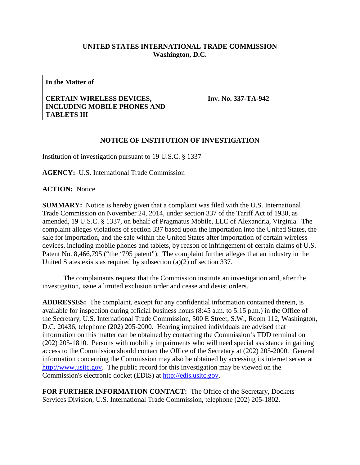## **UNITED STATES INTERNATIONAL TRADE COMMISSION Washington, D.C.**

**In the Matter of**

## **CERTAIN WIRELESS DEVICES, INCLUDING MOBILE PHONES AND TABLETS III**

**Inv. No. 337-TA-942**

## **NOTICE OF INSTITUTION OF INVESTIGATION**

Institution of investigation pursuant to 19 U.S.C. § 1337

**AGENCY:** U.S. International Trade Commission

**ACTION:** Notice

**SUMMARY:** Notice is hereby given that a complaint was filed with the U.S. International Trade Commission on November 24, 2014, under section 337 of the Tariff Act of 1930, as amended, 19 U.S.C. § 1337, on behalf of Pragmatus Mobile, LLC of Alexandria, Virginia. The complaint alleges violations of section 337 based upon the importation into the United States, the sale for importation, and the sale within the United States after importation of certain wireless devices, including mobile phones and tablets, by reason of infringement of certain claims of U.S. Patent No. 8,466,795 ("the '795 patent"). The complaint further alleges that an industry in the United States exists as required by subsection (a)(2) of section 337.

The complainants request that the Commission institute an investigation and, after the investigation, issue a limited exclusion order and cease and desist orders.

**ADDRESSES:** The complaint, except for any confidential information contained therein, is available for inspection during official business hours (8:45 a.m. to 5:15 p.m.) in the Office of the Secretary, U.S. International Trade Commission, 500 E Street, S.W., Room 112, Washington, D.C. 20436, telephone (202) 205-2000. Hearing impaired individuals are advised that information on this matter can be obtained by contacting the Commission's TDD terminal on (202) 205-1810. Persons with mobility impairments who will need special assistance in gaining access to the Commission should contact the Office of the Secretary at (202) 205-2000. General information concerning the Commission may also be obtained by accessing its internet server at [http://www.usitc.gov.](http://www.usitc.gov/) The public record for this investigation may be viewed on the Commission's electronic docket (EDIS) at [http://edis.usitc.gov.](http://edis.usitc.gov/)

**FOR FURTHER INFORMATION CONTACT:** The Office of the Secretary, Dockets Services Division, U.S. International Trade Commission, telephone (202) 205-1802.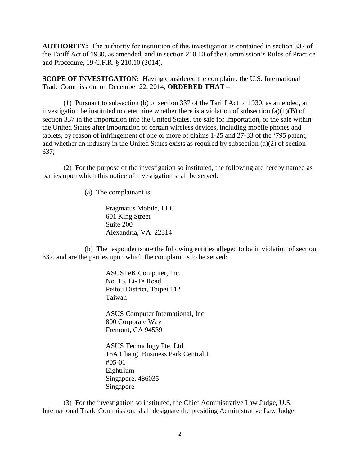**AUTHORITY:** The authority for institution of this investigation is contained in section 337 of the Tariff Act of 1930, as amended, and in section 210.10 of the Commission's Rules of Practice and Procedure, 19 C.F.R. § 210.10 (2014).

**SCOPE OF INVESTIGATION:** Having considered the complaint, the U.S. International Trade Commission, on December 22, 2014, **ORDERED THAT** –

(1) Pursuant to subsection (b) of section 337 of the Tariff Act of 1930, as amended, an investigation be instituted to determine whether there is a violation of subsection  $(a)(1)(B)$  of section 337 in the importation into the United States, the sale for importation, or the sale within the United States after importation of certain wireless devices, including mobile phones and tablets, by reason of infringement of one or more of claims 1-25 and 27-33 of the '795 patent, and whether an industry in the United States exists as required by subsection (a)(2) of section 337;

(2) For the purpose of the investigation so instituted, the following are hereby named as parties upon which this notice of investigation shall be served:

(a) The complainant is:

Pragmatus Mobile, LLC 601 King Street Suite 200 Alexandria, VA 22314

(b) The respondents are the following entities alleged to be in violation of section 337, and are the parties upon which the complaint is to be served:

> ASUSTeK Computer, Inc. No. 15, Li-Te Road Peitou District, Taipei 112 Taiwan

ASUS Computer International, Inc. 800 Corporate Way Fremont, CA 94539

ASUS Technology Pte. Ltd. 15A Changi Business Park Central 1 #05-01 Eightrium Singapore, 486035 Singapore

(3) For the investigation so instituted, the Chief Administrative Law Judge, U.S. International Trade Commission, shall designate the presiding Administrative Law Judge.